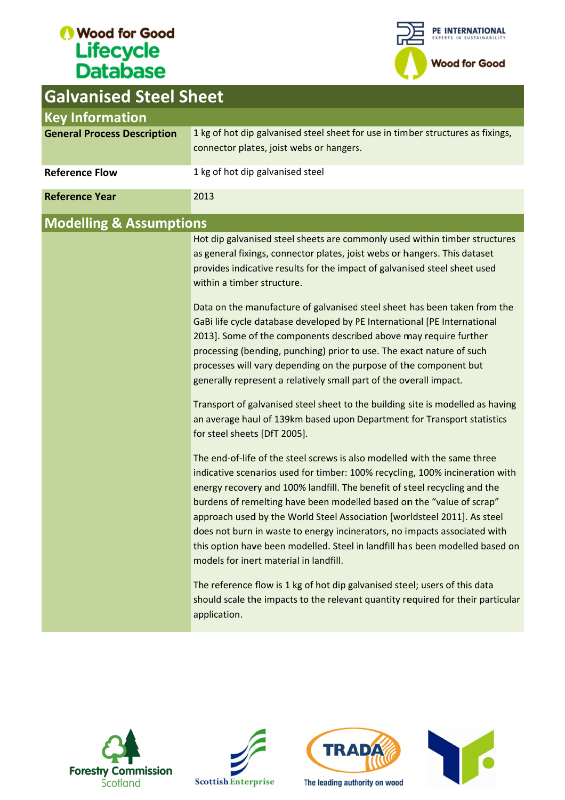# Wood for Good Lifecycle<br>Database

Columniaed Cheel Ch



| Galvanised Steel Sneet             |                                                                                                                                                                                                                                                                                                                                                                                                                                                                                                                                                                                                   |  |  |  |  |  |  |
|------------------------------------|---------------------------------------------------------------------------------------------------------------------------------------------------------------------------------------------------------------------------------------------------------------------------------------------------------------------------------------------------------------------------------------------------------------------------------------------------------------------------------------------------------------------------------------------------------------------------------------------------|--|--|--|--|--|--|
| <b>Key Information</b>             |                                                                                                                                                                                                                                                                                                                                                                                                                                                                                                                                                                                                   |  |  |  |  |  |  |
| <b>General Process Description</b> | 1 kg of hot dip galvanised steel sheet for use in timber structures as fixings,<br>connector plates, joist webs or hangers.                                                                                                                                                                                                                                                                                                                                                                                                                                                                       |  |  |  |  |  |  |
| <b>Reference Flow</b>              | 1 kg of hot dip galvanised steel                                                                                                                                                                                                                                                                                                                                                                                                                                                                                                                                                                  |  |  |  |  |  |  |
| <b>Reference Year</b>              | 2013                                                                                                                                                                                                                                                                                                                                                                                                                                                                                                                                                                                              |  |  |  |  |  |  |
| <b>Modelling &amp; Assumptions</b> |                                                                                                                                                                                                                                                                                                                                                                                                                                                                                                                                                                                                   |  |  |  |  |  |  |
|                                    | Hot dip galvanised steel sheets are commonly used within timber structures<br>as general fixings, connector plates, joist webs or hangers. This dataset<br>provides indicative results for the impact of galvanised steel sheet used<br>within a timber structure.                                                                                                                                                                                                                                                                                                                                |  |  |  |  |  |  |
|                                    | Data on the manufacture of galvanised steel sheet has been taken from the<br>GaBi life cycle database developed by PE International [PE International<br>2013]. Some of the components described above may require further<br>processing (bending, punching) prior to use. The exact nature of such<br>processes will vary depending on the purpose of the component but<br>generally represent a relatively small part of the overall impact.                                                                                                                                                    |  |  |  |  |  |  |
|                                    | Transport of galvanised steel sheet to the building site is modelled as having<br>an average haul of 139km based upon Department for Transport statistics<br>for steel sheets [DfT 2005].                                                                                                                                                                                                                                                                                                                                                                                                         |  |  |  |  |  |  |
|                                    | The end-of-life of the steel screws is also modelled with the same three<br>indicative scenarios used for timber: 100% recycling, 100% incineration with<br>energy recovery and 100% landfill. The benefit of steel recycling and the<br>burdens of remelting have been modelled based on the "value of scrap"<br>approach used by the World Steel Association [worldsteel 2011]. As steel<br>does not burn in waste to energy incinerators, no impacts associated with<br>this option have been modelled. Steel in landfill has been modelled based on<br>models for inert material in landfill. |  |  |  |  |  |  |
|                                    | The reference flow is 1 kg of hot dip galvanised steel; users of this data<br>should scale the impacts to the relevant quantity required for their particular<br>application.                                                                                                                                                                                                                                                                                                                                                                                                                     |  |  |  |  |  |  |







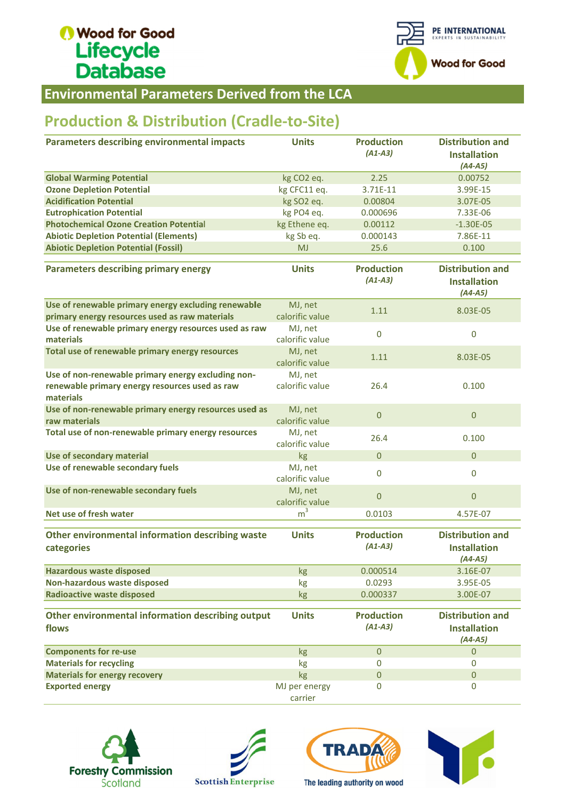# Wood for Good Lifecycle<br>Database



**Environmental Parameters Derived from the LCA** 

### **Production & Distribution (Cradle-to-Site)**

| <b>Production &amp; Distribution (Cradle-to-Site)</b>                                                             |                            |                                |                                                             |  |
|-------------------------------------------------------------------------------------------------------------------|----------------------------|--------------------------------|-------------------------------------------------------------|--|
| <b>Parameters describing environmental impacts</b>                                                                | <b>Units</b>               | <b>Production</b><br>$(A1-A3)$ | <b>Distribution and</b><br><b>Installation</b><br>$(A4-A5)$ |  |
| <b>Global Warming Potential</b>                                                                                   | kg CO <sub>2</sub> eq.     | 2.25                           | 0.00752                                                     |  |
| <b>Ozone Depletion Potential</b>                                                                                  | kg CFC11 eq.               | 3.71E-11                       | 3.99E-15                                                    |  |
| <b>Acidification Potential</b>                                                                                    | kg SO2 eq.                 | 0.00804                        | 3.07E-05                                                    |  |
| <b>Eutrophication Potential</b>                                                                                   | kg PO4 eq.                 | 0.000696                       | 7.33E-06                                                    |  |
| <b>Photochemical Ozone Creation Potential</b>                                                                     | kg Ethene eq.              | 0.00112                        | $-1.30E-05$                                                 |  |
| <b>Abiotic Depletion Potential (Elements)</b>                                                                     | kg Sb eq.                  | 0.000143                       | 7.86E-11                                                    |  |
| <b>Abiotic Depletion Potential (Fossil)</b>                                                                       | <b>MJ</b>                  | 25.6                           | 0.100                                                       |  |
| <b>Parameters describing primary energy</b>                                                                       | <b>Units</b>               | <b>Production</b><br>$(A1-A3)$ | <b>Distribution and</b><br><b>Installation</b><br>$(A4-A5)$ |  |
| Use of renewable primary energy excluding renewable                                                               | MJ, net                    | 1.11                           | 8.03E-05                                                    |  |
| primary energy resources used as raw materials                                                                    | calorific value            |                                |                                                             |  |
| Use of renewable primary energy resources used as raw<br>materials                                                | MJ, net<br>calorific value | $\overline{0}$                 | $\mathbf 0$                                                 |  |
| Total use of renewable primary energy resources                                                                   | MJ, net<br>calorific value | 1.11                           | 8.03E-05                                                    |  |
| Use of non-renewable primary energy excluding non-<br>renewable primary energy resources used as raw<br>materials | MJ, net<br>calorific value | 26.4                           | 0.100                                                       |  |
| Use of non-renewable primary energy resources used as<br>raw materials                                            | MJ, net<br>calorific value | $\mathbf 0$                    | $\mathbf{0}$                                                |  |
| Total use of non-renewable primary energy resources                                                               | MJ, net<br>calorific value | 26.4                           | 0.100                                                       |  |
| Use of secondary material                                                                                         | kg                         | $\boldsymbol{0}$               | $\overline{0}$                                              |  |
| Use of renewable secondary fuels                                                                                  | MJ, net<br>calorific value | $\bf{0}$                       | $\mathbf 0$                                                 |  |
| Use of non-renewable secondary fuels                                                                              | MJ, net<br>calorific value | $\mathbf{0}$                   | $\overline{0}$                                              |  |
| Net use of fresh water                                                                                            | m <sup>3</sup>             | 0.0103                         | 4.57E-07                                                    |  |
| Other environmental information describing waste<br>categories                                                    | <b>Units</b>               | <b>Production</b><br>$(A1-A3)$ | <b>Distribution and</b><br><b>Installation</b><br>$(A4-A5)$ |  |
| <b>Hazardous waste disposed</b>                                                                                   | <b>kg</b>                  | 0.000514                       | 3.16E-07                                                    |  |
| Non-hazardous waste disposed                                                                                      | kg                         | 0.0293                         | 3.95E-05                                                    |  |
| <b>Radioactive waste disposed</b>                                                                                 | kg                         | 0.000337                       | 3.00E-07                                                    |  |
| Other environmental information describing output<br>flows                                                        | <b>Units</b>               | <b>Production</b><br>$(A1-A3)$ | <b>Distribution and</b><br><b>Installation</b><br>$(A4-A5)$ |  |
| <b>Components for re-use</b>                                                                                      | kg                         | $\mathbf{0}$                   | $\pmb{0}$                                                   |  |
| <b>Materials for recycling</b>                                                                                    | kg                         | 0                              | $\Omega$                                                    |  |
| <b>Materials for energy recovery</b>                                                                              | kg                         | $\mathbf{0}$                   | $\mathbf{0}$                                                |  |
| <b>Exported energy</b>                                                                                            | MJ per energy<br>carrier   | 0                              | $\mathbf 0$                                                 |  |







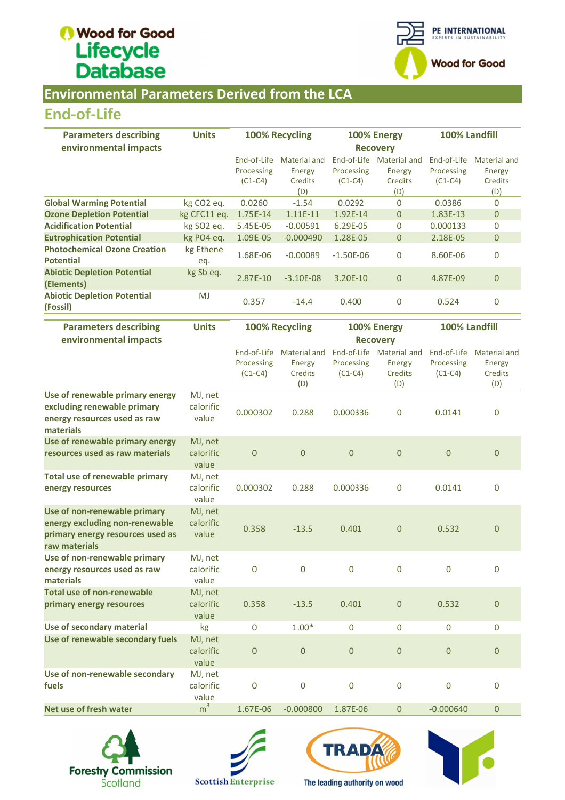# Wood for Good Lifecycle<br>Database



#### **Environmental Parameters Derived from the LCA**

### End End-of-Life

| <b>Parameters describing</b>                            | <b>Units</b>           | 100% Recycling |              | 100% Energy |                 | 100% Landfill |              |
|---------------------------------------------------------|------------------------|----------------|--------------|-------------|-----------------|---------------|--------------|
| environmental impacts                                   |                        |                |              |             | <b>Recovery</b> |               |              |
|                                                         |                        | End-of-Life    | Material and | End-of-Life | Material and    | End-of-Life   | Material and |
|                                                         |                        | Processing     | Energy       | Processing  | Energy          | Processing    | Energy       |
|                                                         |                        | $(C1-C4)$      | Credits      | $(C1-C4)$   | <b>Credits</b>  | $(C1-C4)$     | Credits      |
|                                                         |                        |                | (D)          |             | (D)             |               | (D)          |
| <b>Global Warming Potential</b>                         | kg CO <sub>2</sub> eq. | 0.0260         | $-1.54$      | 0.0292      | 0               | 0.0386        | $\mathbf 0$  |
| <b>Ozone Depletion Potential</b>                        | kg CFC11 eq.           | 1.75E-14       | $1.11E-11$   | 1.92E-14    | $\mathbf{0}$    | 1.83E-13      | $\mathbf{0}$ |
| <b>Acidification Potential</b>                          | kg SO <sub>2</sub> eq. | 5.45E-05       | $-0.00591$   | 6.29E-05    | $\Omega$        | 0.000133      | $\Omega$     |
| <b>Eutrophication Potential</b>                         | kg PO4 eq.             | 1.09E-05       | $-0.000490$  | 1.28E-05    | 0               | 2.18E-05      | $\mathbf{0}$ |
| <b>Photochemical Ozone Creation</b><br><b>Potential</b> | kg Ethene<br>eq.       | 1.68E-06       | $-0.00089$   | $-1.50E-06$ | 0               | 8.60E-06      | 0            |
| <b>Abiotic Depletion Potential</b><br>(Elements)        | kg Sb eq.              | 2.87E-10       | $-3.10E-08$  | 3.20E-10    | $\overline{0}$  | 4.87E-09      | $\mathbf{0}$ |
| <b>Abiotic Depletion Potential</b><br>(Fossil)          | <b>MJ</b>              | 0.357          | $-14.4$      | 0.400       | 0               | 0.524         | $\Omega$     |

| <b>End-of-Life</b>                                                                                                  |                               |                                        |                                                        |                         |                                                             |                                        |                                                        |
|---------------------------------------------------------------------------------------------------------------------|-------------------------------|----------------------------------------|--------------------------------------------------------|-------------------------|-------------------------------------------------------------|----------------------------------------|--------------------------------------------------------|
| <b>Parameters describing</b><br>environmental impacts                                                               | <b>Units</b>                  | 100% Recycling                         |                                                        |                         | 100% Energy<br><b>Recovery</b>                              | 100% Landfill                          |                                                        |
|                                                                                                                     |                               | End-of-Life<br>Processing<br>$(C1-C4)$ | <b>Material and</b><br>Energy<br><b>Credits</b><br>(D) | Processing<br>$(C1-C4)$ | End-of-Life Material and<br>Energy<br>Credits<br>(D)        | End-of-Life<br>Processing<br>$(C1-C4)$ | Material and<br><b>Energy</b><br><b>Credits</b><br>(D) |
| <b>Global Warming Potential</b>                                                                                     | kg CO <sub>2</sub> eq.        | 0.0260                                 | $-1.54$                                                | 0.0292                  | 0                                                           | 0.0386                                 | 0                                                      |
| <b>Ozone Depletion Potential</b>                                                                                    | kg CFC11 eq.                  | 1.75E-14                               | $1.11E-11$                                             | 1.92E-14                | $\overline{0}$                                              | 1.83E-13                               | $\mathbf 0$                                            |
| <b>Acidification Potential</b>                                                                                      | kg SO2 eq.                    | 5.45E-05                               | $-0.00591$                                             | 6.29E-05                | 0                                                           | 0.000133                               | 0                                                      |
| <b>Eutrophication Potential</b>                                                                                     | kg PO4 eq.                    | 1.09E-05                               | $-0.000490$                                            | 1.28E-05                | $\overline{0}$                                              | 2.18E-05                               | $\pmb{0}$                                              |
| <b>Photochemical Ozone Creation</b>                                                                                 | kg Ethene                     |                                        |                                                        |                         |                                                             |                                        |                                                        |
| <b>Potential</b>                                                                                                    | eq.                           | 1.68E-06                               | $-0.00089$                                             | $-1.50E-06$             | 0                                                           | 8.60E-06                               | $\boldsymbol{0}$                                       |
| <b>Abiotic Depletion Potential</b><br>(Elements)                                                                    | kg Sb eq.                     | 2.87E-10                               | $-3.10E-08$                                            | 3.20E-10                | $\overline{0}$                                              | 4.87E-09                               | $\mathbf{0}$                                           |
| <b>Abiotic Depletion Potential</b><br>(Fossil)                                                                      | <b>MJ</b>                     | 0.357                                  | $-14.4$                                                | 0.400                   | 0                                                           | 0.524                                  | 0                                                      |
| <b>Parameters describing</b>                                                                                        | <b>Units</b>                  | 100% Recycling                         |                                                        | 100% Energy             |                                                             | 100% Landfill                          |                                                        |
| environmental impacts                                                                                               |                               |                                        |                                                        |                         | <b>Recovery</b>                                             |                                        |                                                        |
|                                                                                                                     |                               | End-of-Life<br>Processing<br>$(C1-C4)$ | <b>Material and</b><br>Energy<br>Credits<br>(D)        | Processing<br>$(C1-C4)$ | End-of-Life Material and<br>Energy<br><b>Credits</b><br>(D) | End-of-Life<br>Processing<br>$(C1-C4)$ | <b>Material and</b><br>Energy<br>Credits<br>(D)        |
| Use of renewable primary energy                                                                                     | MJ, net                       |                                        |                                                        |                         |                                                             |                                        |                                                        |
| excluding renewable primary<br>energy resources used as raw<br>materials                                            | calorific<br>value            | 0.000302                               | 0.288                                                  | 0.000336                | 0                                                           | 0.0141                                 | 0                                                      |
| Use of renewable primary energy<br>resources used as raw materials                                                  | MJ, net<br>calorific<br>value | $\mathbf 0$                            | $\overline{0}$                                         | $\boldsymbol{0}$        | $\overline{0}$                                              | $\overline{0}$                         | $\overline{0}$                                         |
| <b>Total use of renewable primary</b><br>energy resources                                                           | MJ, net<br>calorific<br>value | 0.000302                               | 0.288                                                  | 0.000336                | $\mathbf 0$                                                 | 0.0141                                 | $\mathbf 0$                                            |
| Use of non-renewable primary<br>energy excluding non-renewable<br>primary energy resources used as<br>raw materials | MJ, net<br>calorific<br>value | 0.358                                  | $-13.5$                                                | 0.401                   | $\overline{0}$                                              | 0.532                                  | 0                                                      |
| Use of non-renewable primary<br>energy resources used as raw<br>materials                                           | MJ, net<br>calorific<br>value | 0                                      | $\mathbf 0$                                            | $\mathbf 0$             | $\mathbf 0$                                                 | $\mathbf 0$                            | $\mathbf 0$                                            |
| <b>Total use of non-renewable</b><br>primary energy resources                                                       | MJ, net<br>calorific<br>value | 0.358                                  | $-13.5$                                                | 0.401                   | $\overline{0}$                                              | 0.532                                  | $\mathbf{0}$                                           |
| Use of secondary material                                                                                           | kg                            | 0                                      | $1.00*$                                                | 0                       | $\boldsymbol{0}$                                            | 0                                      | 0                                                      |
| Use of renewable secondary fuels                                                                                    | MJ, net<br>calorific<br>value | $\mathbf 0$                            | $\mathbf 0$                                            | $\boldsymbol{0}$        | $\mathbf{0}$                                                | $\mathbf 0$                            | $\boldsymbol{0}$                                       |
| Use of non-renewable secondary<br>fuels                                                                             | MJ, net<br>calorific<br>value | $\mathbf 0$                            | $\mathbf 0$                                            | $\mathbf 0$             | $\mathbf 0$                                                 | $\bf{0}$                               | $\mathbf 0$                                            |
| Net use of fresh water                                                                                              | m <sup>3</sup>                | 1.67E-06                               | $-0.000800$                                            | 1.87E-06                | $\pmb{0}$                                                   | $-0.000640$                            | $\mathbf{0}$                                           |